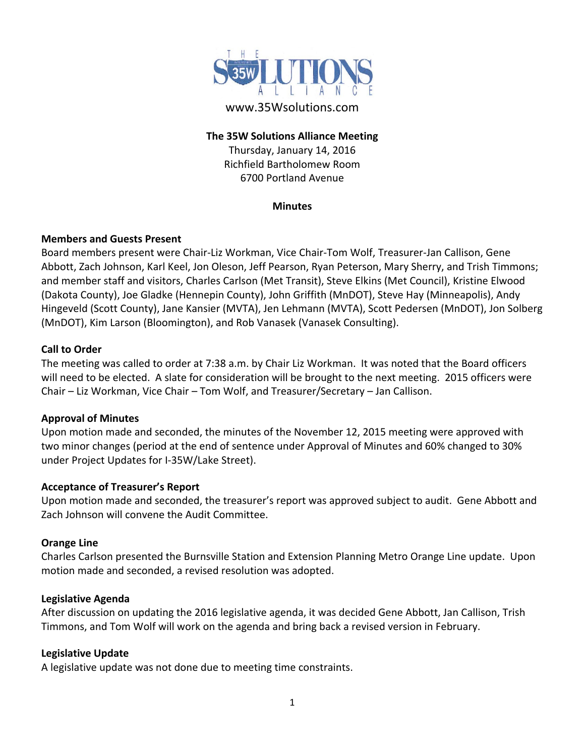

# www.35Wsolutions.com

#### **The 35W Solutions Alliance Meeting**

Thursday, January 14, 2016 Richfield Bartholomew Room 6700 Portland Avenue

#### **Minutes**

## **Members and Guests Present**

Board members present were Chair‐Liz Workman, Vice Chair‐Tom Wolf, Treasurer‐Jan Callison, Gene Abbott, Zach Johnson, Karl Keel, Jon Oleson, Jeff Pearson, Ryan Peterson, Mary Sherry, and Trish Timmons; and member staff and visitors, Charles Carlson (Met Transit), Steve Elkins (Met Council), Kristine Elwood (Dakota County), Joe Gladke (Hennepin County), John Griffith (MnDOT), Steve Hay (Minneapolis), Andy Hingeveld (Scott County), Jane Kansier (MVTA), Jen Lehmann (MVTA), Scott Pedersen (MnDOT), Jon Solberg (MnDOT), Kim Larson (Bloomington), and Rob Vanasek (Vanasek Consulting).

#### **Call to Order**

The meeting was called to order at 7:38 a.m. by Chair Liz Workman. It was noted that the Board officers will need to be elected. A slate for consideration will be brought to the next meeting. 2015 officers were Chair – Liz Workman, Vice Chair – Tom Wolf, and Treasurer/Secretary – Jan Callison.

#### **Approval of Minutes**

Upon motion made and seconded, the minutes of the November 12, 2015 meeting were approved with two minor changes (period at the end of sentence under Approval of Minutes and 60% changed to 30% under Project Updates for I‐35W/Lake Street).

## **Acceptance of Treasurer's Report**

Upon motion made and seconded, the treasurer's report was approved subject to audit. Gene Abbott and Zach Johnson will convene the Audit Committee.

## **Orange Line**

Charles Carlson presented the Burnsville Station and Extension Planning Metro Orange Line update. Upon motion made and seconded, a revised resolution was adopted.

#### **Legislative Agenda**

After discussion on updating the 2016 legislative agenda, it was decided Gene Abbott, Jan Callison, Trish Timmons, and Tom Wolf will work on the agenda and bring back a revised version in February.

## **Legislative Update**

A legislative update was not done due to meeting time constraints.